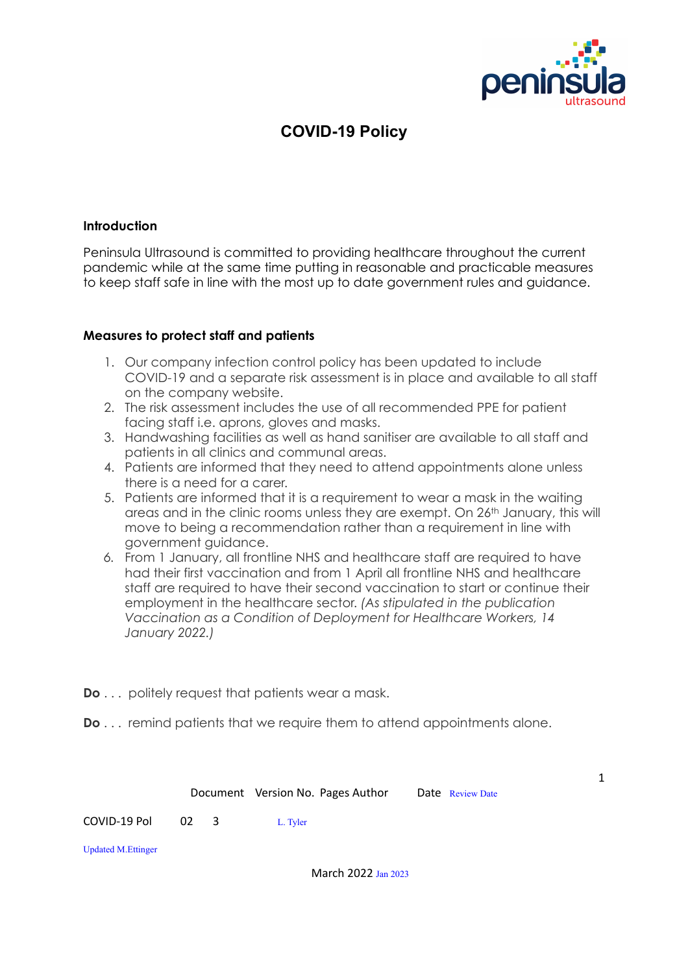

# **COVID-19 Policy**

## **Introduction**

Peninsula Ultrasound is committed to providing healthcare throughout the current pandemic while at the same time putting in reasonable and practicable measures to keep staff safe in line with the most up to date government rules and guidance.

#### **Measures to protect staff and patients**

- 1. Our company infection control policy has been updated to include COVID-19 and a separate risk assessment is in place and available to all staff on the company website.
- 2. The risk assessment includes the use of all recommended PPE for patient facing staff i.e. aprons, gloves and masks.
- 3. Handwashing facilities as well as hand sanitiser are available to all staff and patients in all clinics and communal areas.
- 4. Patients are informed that they need to attend appointments alone unless there is a need for a carer.
- 5. Patients are informed that it is a requirement to wear a mask in the waiting areas and in the clinic rooms unless they are exempt. On 26th January, this will move to being a recommendation rather than a requirement in line with government guidance.
- *6.* From 1 January, all frontline NHS and healthcare staff are required to have had their first vaccination and from 1 April all frontline NHS and healthcare staff are required to have their second vaccination to start or continue their employment in the healthcare sector. *(As stipulated in the publication Vaccination as a Condition of Deployment for Healthcare Workers, 14 January 2022.)*
- **Do** . . . politely request that patients wear a mask.
- **Do** . . . remind patients that we require them to attend appointments alone.

|                           |           |  | Document Version No. Pages Author | Date Review Date | 1 |
|---------------------------|-----------|--|-----------------------------------|------------------|---|
| COVID-19 Pol              | $02 \t 3$ |  | L. Tyler                          |                  |   |
| <b>Updated M.Ettinger</b> |           |  |                                   |                  |   |
|                           |           |  | March 2022 Jan 2023               |                  |   |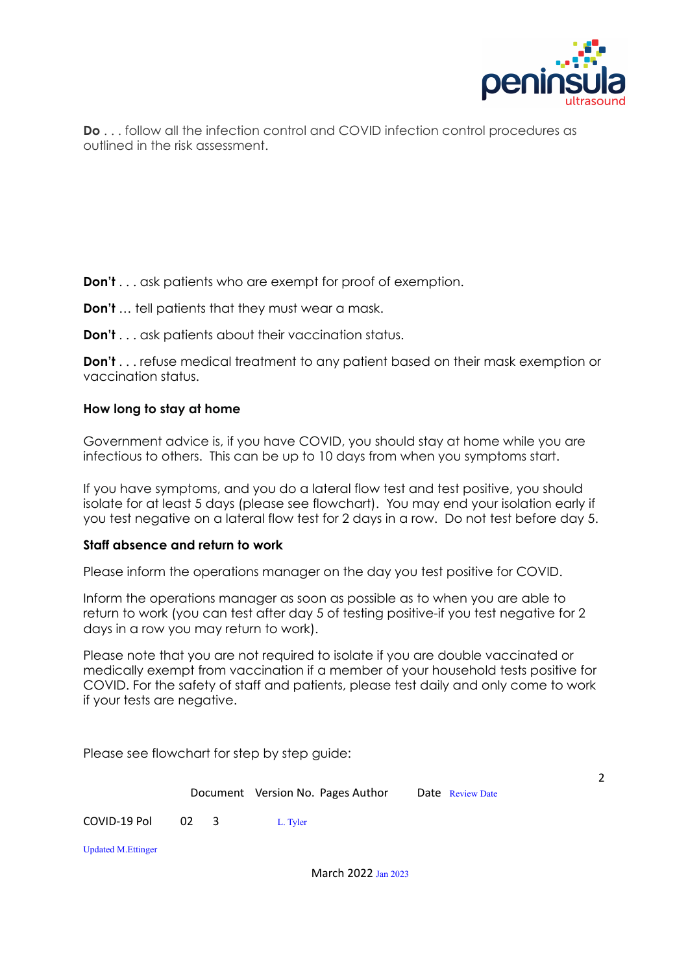

2

**Do** . . . follow all the infection control and COVID infection control procedures as outlined in the risk assessment.

## **Don't** . . . ask patients who are exempt for proof of exemption.

- **Don't** … tell patients that they must wear a mask.
- **Don't** . . . ask patients about their vaccination status.

**Don't** . . . refuse medical treatment to any patient based on their mask exemption or vaccination status.

## **How long to stay at home**

Government advice is, if you have COVID, you should stay at home while you are infectious to others. This can be up to 10 days from when you symptoms start.

If you have symptoms, and you do a lateral flow test and test positive, you should isolate for at least 5 days (please see flowchart). You may end your isolation early if you test negative on a lateral flow test for 2 days in a row. Do not test before day 5.

## **Staff absence and return to work**

Please inform the operations manager on the day you test positive for COVID.

Inform the operations manager as soon as possible as to when you are able to return to work (you can test after day 5 of testing positive-if you test negative for 2 days in a row you may return to work).

Please note that you are not required to isolate if you are double vaccinated or medically exempt from vaccination if a member of your household tests positive for COVID. For the safety of staff and patients, please test daily and only come to work if your tests are negative.

Please see flowchart for step by step guide:

Document Version No. Pages Author Date Review Date COVID-19 Pol 02 3 L. Tyler Updated M.Ettinger

March 2022 Jan 2023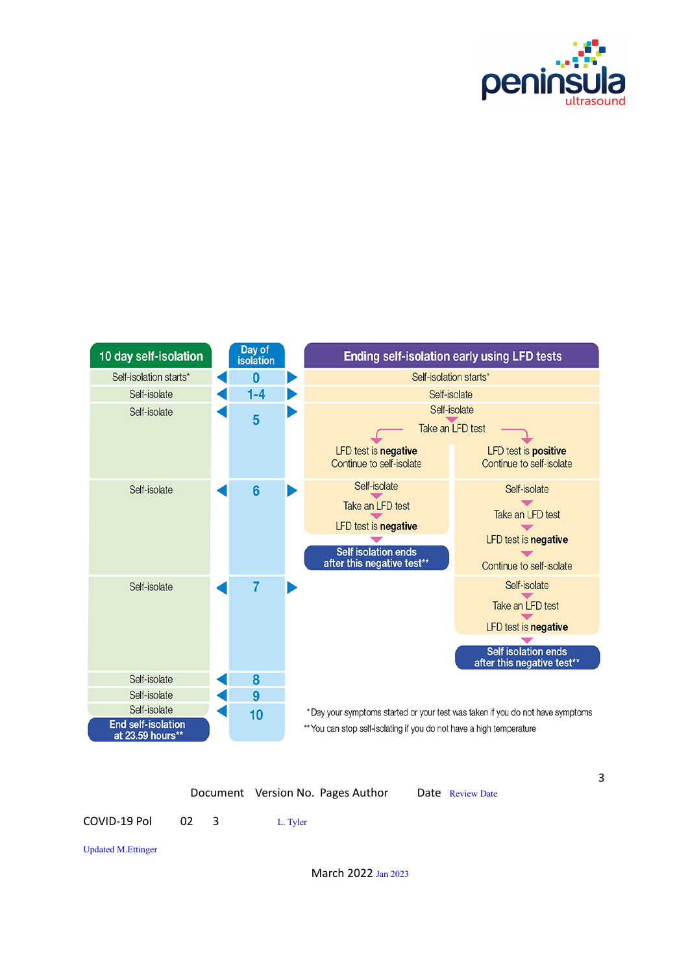



|                                  |  |  | Document Version No. Pages Author |  | Date Review Date |
|----------------------------------|--|--|-----------------------------------|--|------------------|
| COVID-19 Pol          02       3 |  |  | L. Tyler                          |  |                  |

Updated M.Ettinger

March 2022 Jan 2023